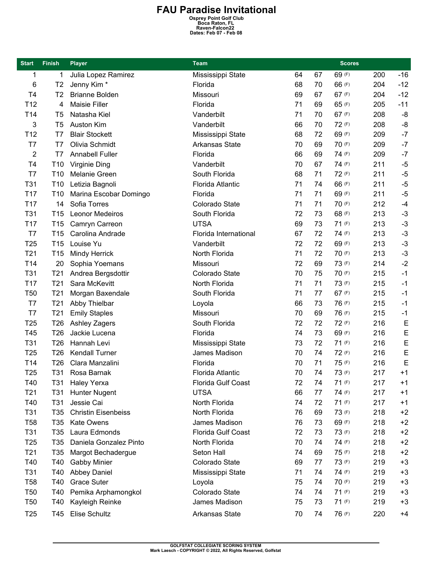## FAU Paradise Invitational<br>
Osprey Point Golf Club<br>
Boca Raton, FL<br>
Raven-Falcon22<br>
Dates: Feb 07 - Feb 08

| <b>Start</b>    | <b>Finish</b>   | <b>Player</b>              | <b>Team</b>             |    |    | <b>Scores</b> |     |       |
|-----------------|-----------------|----------------------------|-------------------------|----|----|---------------|-----|-------|
| 1               | 1               | Julia Lopez Ramirez        | Mississippi State       | 64 | 67 | 69 (F)        | 200 | $-16$ |
| 6               | T <sub>2</sub>  | Jenny Kim <sup>*</sup>     | Florida                 | 68 | 70 | 66 (F)        | 204 | $-12$ |
| T <sub>4</sub>  | T <sub>2</sub>  | <b>Brianne Bolden</b>      | Missouri                | 69 | 67 | 67 (F)        | 204 | $-12$ |
| T <sub>12</sub> | 4               | <b>Maisie Filler</b>       | Florida                 | 71 | 69 | 65 (F)        | 205 | $-11$ |
| T14             | T <sub>5</sub>  | Natasha Kiel               | Vanderbilt              | 71 | 70 | 67 (F)        | 208 | -8    |
| 3               | T <sub>5</sub>  | <b>Auston Kim</b>          | Vanderbilt              | 66 | 70 | 72 (F)        | 208 | -8    |
| T <sub>12</sub> | T7              | <b>Blair Stockett</b>      | Mississippi State       | 68 | 72 | 69 (F)        | 209 | $-7$  |
| T7              | T7              | Olivia Schmidt             | <b>Arkansas State</b>   | 70 | 69 | 70 (F)        | 209 | $-7$  |
| $\overline{2}$  | T7              | <b>Annabell Fuller</b>     | Florida                 | 66 | 69 | 74 (F)        | 209 | $-7$  |
| T4              | T <sub>10</sub> | Virginie Ding              | Vanderbilt              | 70 | 67 | 74 (F)        | 211 | $-5$  |
| T7              | T <sub>10</sub> | Melanie Green              | South Florida           | 68 | 71 | 72 (F)        | 211 | $-5$  |
| T31             | T <sub>10</sub> | Letizia Bagnoli            | <b>Florida Atlantic</b> | 71 | 74 | 66 (F)        | 211 | $-5$  |
| T <sub>17</sub> | T <sub>10</sub> | Marina Escobar Domingo     | Florida                 | 71 | 71 | 69 (F)        | 211 | $-5$  |
| T17             | 14              | Sofia Torres               | Colorado State          | 71 | 71 | 70 (F)        | 212 | $-4$  |
| T31             | T <sub>15</sub> | Leonor Medeiros            | South Florida           | 72 | 73 | 68 (F)        | 213 | $-3$  |
| T <sub>17</sub> | T <sub>15</sub> | Camryn Carreon             | <b>UTSA</b>             | 69 | 73 | 71 (F)        | 213 | $-3$  |
| T7              | T <sub>15</sub> | Carolina Andrade           | Florida International   | 67 | 72 | 74 (F)        | 213 | $-3$  |
| T <sub>25</sub> | T <sub>15</sub> | Louise Yu                  | Vanderbilt              | 72 | 72 | 69 (F)        | 213 | $-3$  |
| T <sub>21</sub> | T <sub>15</sub> | <b>Mindy Herrick</b>       | North Florida           | 71 | 72 | 70 (F)        | 213 | $-3$  |
| T14             | 20              | Sophia Yoemans             | Missouri                | 72 | 69 | 73 (F)        | 214 | $-2$  |
| T31             | T <sub>21</sub> | Andrea Bergsdottir         | Colorado State          | 70 | 75 | 70 (F)        | 215 | $-1$  |
| T <sub>17</sub> | T <sub>21</sub> | Sara McKevitt              | North Florida           | 71 | 71 | 73 (F)        | 215 | $-1$  |
| T <sub>50</sub> | T <sub>21</sub> | Morgan Baxendale           | South Florida           | 71 | 77 | 67 (F)        | 215 | $-1$  |
| T7              | T <sub>21</sub> | Abby Thielbar              | Loyola                  | 66 | 73 | 76 (F)        | 215 | $-1$  |
| T7              | T <sub>21</sub> | <b>Emily Staples</b>       | Missouri                | 70 | 69 | 76 (F)        | 215 | $-1$  |
| T <sub>25</sub> | T <sub>26</sub> | Ashley Zagers              | South Florida           | 72 | 72 | 72 (F)        | 216 | E     |
| T45             | T <sub>26</sub> | Jackie Lucena              | Florida                 | 74 | 73 | 69 (F)        | 216 | E     |
| T31             | T <sub>26</sub> | Hannah Levi                | Mississippi State       | 73 | 72 | 71 (F)        | 216 | E     |
| T <sub>25</sub> | T <sub>26</sub> | <b>Kendall Turner</b>      | James Madison           | 70 | 74 | 72 (F)        | 216 | E     |
| T14             | T <sub>26</sub> | Clara Manzalini            | Florida                 | 70 | 71 | 75 (F)        | 216 | E     |
| T <sub>25</sub> | T31             | Rosa Barnak                | Florida Atlantic        | 70 | 74 | 73 (F)        | 217 | $+1$  |
| T40             | T31             | <b>Haley Yerxa</b>         | Florida Gulf Coast      | 72 | 74 | 71 (F)        | 217 | $+1$  |
| T <sub>21</sub> | T31             | <b>Hunter Nugent</b>       | <b>UTSA</b>             | 66 | 77 | 74 (F)        | 217 | $+1$  |
| T40             | T <sub>31</sub> | Jessie Cai                 | North Florida           | 74 | 72 | 71 (F)        | 217 | $+1$  |
| T31             | T <sub>35</sub> | <b>Christin Eisenbeiss</b> | North Florida           | 76 | 69 | 73 (F)        | 218 | $+2$  |
| T58             | T <sub>35</sub> | <b>Kate Owens</b>          | James Madison           | 76 | 73 | 69 (F)        | 218 | $+2$  |
| T31             | T35             | Laura Edmonds              | Florida Gulf Coast      | 72 | 73 | 73 (F)        | 218 | $+2$  |
| T <sub>25</sub> | T35             | Daniela Gonzalez Pinto     | North Florida           | 70 | 74 | 74 (F)        | 218 | $+2$  |
| T <sub>21</sub> | T35             | Margot Bechadergue         | Seton Hall              | 74 | 69 | 75 (F)        | 218 | $+2$  |
| T40             | T40             | <b>Gabby Minier</b>        | Colorado State          | 69 | 77 | 73 (F)        | 219 | $+3$  |
| T31             | T40             | <b>Abbey Daniel</b>        | Mississippi State       | 71 | 74 | 74 (F)        | 219 | $+3$  |
| T58             | T40             | <b>Grace Suter</b>         | Loyola                  | 75 | 74 | 70 (F)        | 219 | +3    |
| <b>T50</b>      | T40             | Pemika Arphamongkol        | Colorado State          | 74 | 74 | 71 (F)        | 219 | $+3$  |
| <b>T50</b>      | T40             | Kayleigh Reinke            | James Madison           | 75 | 73 | 71 (F)        | 219 | $+3$  |
| T <sub>25</sub> | T45             | Elise Schultz              | Arkansas State          | 70 | 74 | 76 (F)        | 220 | $+4$  |